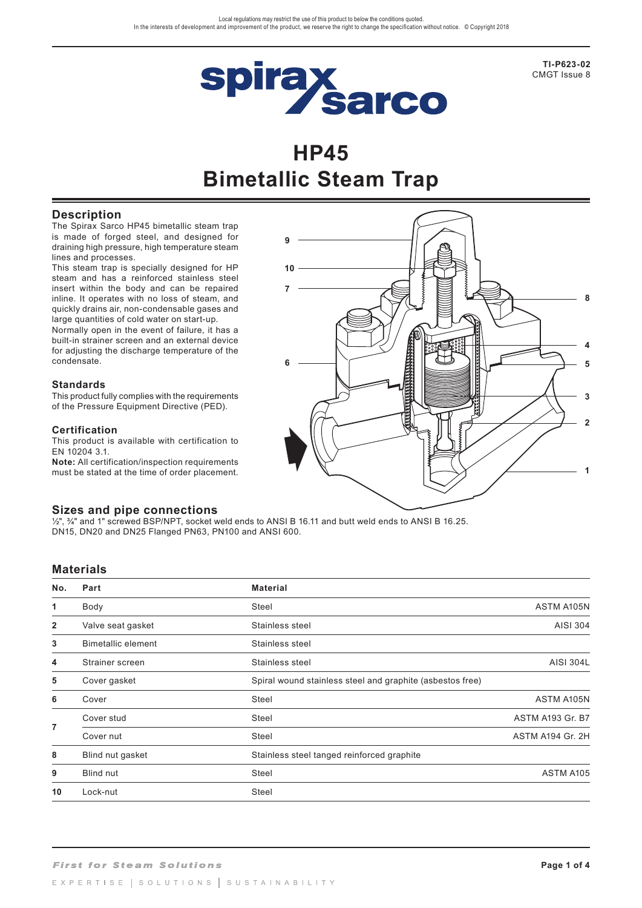

**TI-P623-02**  CMGT Issue 8

# **HP45 Bimetallic Steam Trap**

**9**

**7**

**10**

## **Description**

The Spirax Sarco HP45 bimetallic steam trap is made of forged steel, and designed for draining high pressure, high temperature steam lines and processes.

This steam trap is specially designed for HP steam and has a reinforced stainless steel insert within the body and can be repaired inline. It operates with no loss of steam, and quickly drains air, non-condensable gases and large quantities of cold water on start-up.

Normally open in the event of failure, it has a built-in strainer screen and an external device for adjusting the discharge temperature of the condensate.

#### **Standards**

This product fully complies with the requirements of the Pressure Equipment Directive (PED).

#### **Certification**

This product is available with certification to EN 10204 3.1.

**Note:** All certification/inspection requirements must be stated at the time of order placement.

## **Sizes and pipe connections**

 $\frac{1}{2}$ ",  $\frac{3}{4}$ " and 1" screwed BSP/NPT, socket weld ends to ANSI B 16.11 and butt weld ends to ANSI B 16.25. DN15, DN20 and DN25 Flanged PN63, PN100 and ANSI 600.

### **Materials**

| No.            | Part                      | <b>Material</b>                                           |                         |  |  |  |
|----------------|---------------------------|-----------------------------------------------------------|-------------------------|--|--|--|
| 1              | Body                      | Steel                                                     | ASTM A105N              |  |  |  |
| 2              | Valve seat gasket         | Stainless steel                                           | AISI 304                |  |  |  |
| 3              | <b>Bimetallic element</b> | Stainless steel                                           |                         |  |  |  |
| 4              | Strainer screen           | Stainless steel                                           | <b>AISI 304L</b>        |  |  |  |
| 5              | Cover gasket              | Spiral wound stainless steel and graphite (asbestos free) |                         |  |  |  |
| 6              | Cover                     | <b>Steel</b>                                              | ASTM A105N              |  |  |  |
| $\overline{7}$ | Cover stud                | Steel                                                     | <b>ASTM A193 Gr. B7</b> |  |  |  |
|                | Cover nut                 | Steel                                                     | ASTM A194 Gr. 2H        |  |  |  |
| 8              | Blind nut gasket          | Stainless steel tanged reinforced graphite                |                         |  |  |  |
| 9              | <b>Blind nut</b>          | Steel                                                     | ASTM A105               |  |  |  |
| 10             | Lock-nut                  | Steel                                                     |                         |  |  |  |

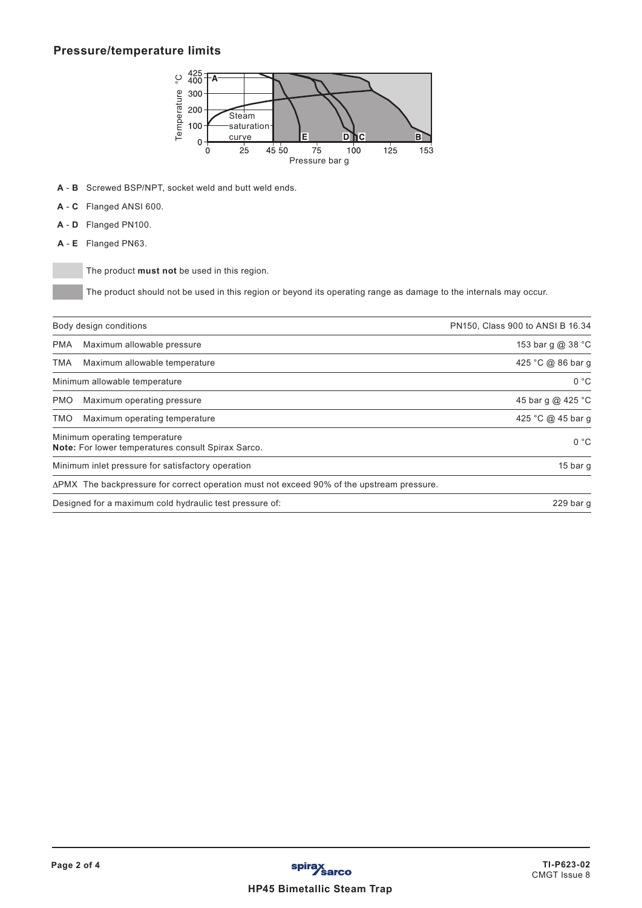## **Pressure/temperature limits**



- **A C** Flanged ANSI 600.
- **A D** Flanged PN100.
- **A E** Flanged PN63.

|            | ပ္င<br>400<br>⊤A·<br>Temperature<br>300<br>200<br>Steam<br>100<br>saturation<br>Е<br>D<br>ħс<br>curve<br>в<br>0<br>25<br>75<br>45 50<br>125<br>100<br>153<br>0<br>Pressure bar q |                                  |
|------------|----------------------------------------------------------------------------------------------------------------------------------------------------------------------------------|----------------------------------|
| A - B      | Screwed BSP/NPT, socket weld and butt weld ends.                                                                                                                                 |                                  |
| A - C      | Flanged ANSI 600.                                                                                                                                                                |                                  |
| A - D      | Flanged PN100.                                                                                                                                                                   |                                  |
| $A - E$    | Flanged PN63.                                                                                                                                                                    |                                  |
|            | The product must not be used in this region.<br>The product should not be used in this region or beyond its operating range as damage to the internals may occur.                |                                  |
|            | Body design conditions                                                                                                                                                           | PN150, Class 900 to ANSI B 16.34 |
| <b>PMA</b> | Maximum allowable pressure                                                                                                                                                       | 153 bar g @ 38 °C                |
| <b>TMA</b> | Maximum allowable temperature                                                                                                                                                    | 425 °C @ 86 bar g                |
|            | Minimum allowable temperature                                                                                                                                                    | 0 °C                             |
| <b>PMO</b> | Maximum operating pressure                                                                                                                                                       | 45 bar g @ 425 °C                |
| <b>TMO</b> | Maximum operating temperature                                                                                                                                                    | 425 °C @ 45 bar g                |
|            | Minimum operating temperature<br>Note: For lower temperatures consult Spirax Sarco.                                                                                              | 0 °C                             |
|            | Minimum inlet pressure for satisfactory operation                                                                                                                                | 15 bar g                         |
|            | ∆PMX The backpressure for correct operation must not exceed 90% of the upstream pressure.                                                                                        |                                  |
|            | Designed for a maximum cold hydraulic test pressure of:                                                                                                                          | 229 bar g                        |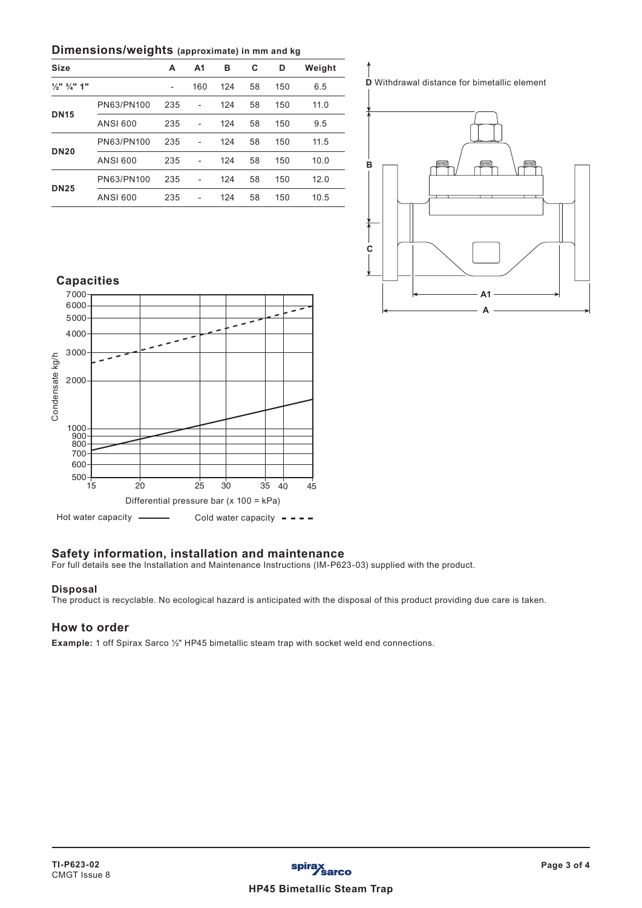### **Dimensions/weights (approximate) in mm and kg**

| <b>Size</b>                        |            | A                        | A <sub>1</sub> | в   | C  | D   | Weight |
|------------------------------------|------------|--------------------------|----------------|-----|----|-----|--------|
| $\frac{1}{2}$ " $\frac{3}{4}$ " 1" |            | $\overline{\phantom{a}}$ | 160            | 124 | 58 | 150 | 6.5    |
|                                    | PN63/PN100 | 235                      | $\overline{a}$ | 124 | 58 | 150 | 11.0   |
| <b>DN15</b>                        | ANSI 600   | 235                      | $\overline{a}$ | 124 | 58 | 150 | 9.5    |
|                                    | PN63/PN100 | 235                      | L,             | 124 | 58 | 150 | 11.5   |
| <b>DN20</b>                        | ANSI 600   | 235                      | L,             | 124 | 58 | 150 | 10.0   |
|                                    | PN63/PN100 | 235                      |                | 124 | 58 | 150 | 12.0   |
| <b>DN25</b>                        | ANSI 600   | 235                      | $\overline{a}$ | 124 | 58 | 150 | 10.5   |

**D** Withdrawal distance for bimetallic element



## **Capacities** 7000 6000  $\overline{\phantom{0}}$ 5000  $\overline{\phantom{a}}$ 4000 3000 Condensate kg/h Condensate kg/h 2000 1000<br>900<br>800 700 600  $\frac{6}{500}$  +  $\frac{15}{15}$ 15 20 25 30 35 40 45 Differential pressure bar (x 100 = kPa)

Hot water capacity  $\longrightarrow$  Cold water capacity  $\rightarrow$  -

## **Safety information, installation and maintenance**

For full details see the Installation and Maintenance Instructions (IM-P623-03) supplied with the product.

#### **Disposal**

The product is recyclable. No ecological hazard is anticipated with the disposal of this product providing due care is taken.

## **How to order**

**Example:** 1 off Spirax Sarco ½" HP45 bimetallic steam trap with socket weld end connections.